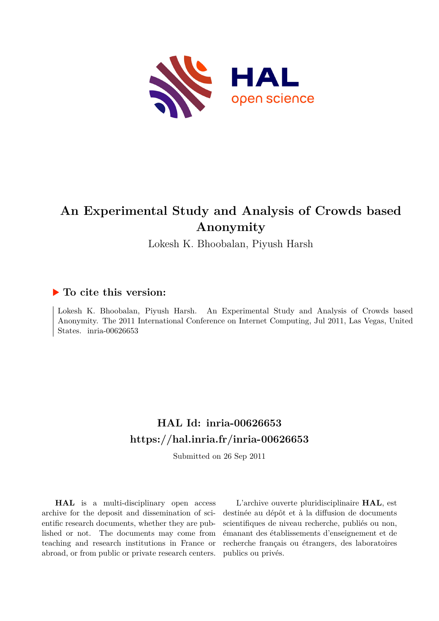

# **An Experimental Study and Analysis of Crowds based Anonymity**

Lokesh K. Bhoobalan, Piyush Harsh

### **To cite this version:**

Lokesh K. Bhoobalan, Piyush Harsh. An Experimental Study and Analysis of Crowds based Anonymity. The 2011 International Conference on Internet Computing, Jul 2011, Las Vegas, United States. inria-00626653

## **HAL Id: inria-00626653 <https://hal.inria.fr/inria-00626653>**

Submitted on 26 Sep 2011

**HAL** is a multi-disciplinary open access archive for the deposit and dissemination of scientific research documents, whether they are published or not. The documents may come from teaching and research institutions in France or abroad, or from public or private research centers.

L'archive ouverte pluridisciplinaire **HAL**, est destinée au dépôt et à la diffusion de documents scientifiques de niveau recherche, publiés ou non, émanant des établissements d'enseignement et de recherche français ou étrangers, des laboratoires publics ou privés.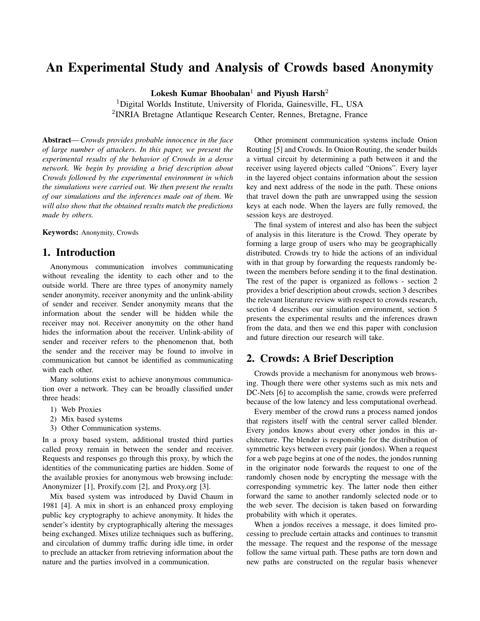## An Experimental Study and Analysis of Crowds based Anonymity

Lokesh Kumar Bhoobalan<sup>1</sup> and Piyush Harsh<sup>2</sup>

<sup>1</sup>Digital Worlds Institute, University of Florida, Gainesville, FL, USA 2 INRIA Bretagne Atlantique Research Center, Rennes, Bretagne, France

Abstract— *Crowds provides probable innocence in the face of large number of attackers. In this paper, we present the experimental results of the behavior of Crowds in a dense network. We begin by providing a brief description about Crowds followed by the experimental environment in which the simulations were carried out. We then present the results of our simulations and the inferences made out of them. We will also show that the obtained results match the predictions made by others.*

Keywords: Anonymity, Crowds

#### 1. Introduction

Anonymous communication involves communicating without revealing the identity to each other and to the outside world. There are three types of anonymity namely sender anonymity, receiver anonymity and the unlink-ability of sender and receiver. Sender anonymity means that the information about the sender will be hidden while the receiver may not. Receiver anonymity on the other hand hides the information about the receiver. Unlink-ability of sender and receiver refers to the phenomenon that, both the sender and the receiver may be found to involve in communication but cannot be identified as communicating with each other.

Many solutions exist to achieve anonymous communication over a network. They can be broadly classified under three heads:

- 1) Web Proxies
- 2) Mix based systems
- 3) Other Communication systems.

In a proxy based system, additional trusted third parties called proxy remain in between the sender and receiver. Requests and responses go through this proxy, by which the identities of the communicating parties are hidden. Some of the available proxies for anonymous web browsing include: Anonymizer [1], Proxify.com [2], and Proxy.org [3].

Mix based system was introduced by David Chaum in 1981 [4]. A mix in short is an enhanced proxy employing public key cryptography to achieve anonymity. It hides the sender's identity by cryptographically altering the messages being exchanged. Mixes utilize techniques such as buffering, and circulation of dummy traffic during idle time, in order to preclude an attacker from retrieving information about the nature and the parties involved in a communication.

Other prominent communication systems include Onion Routing [5] and Crowds. In Onion Routing, the sender builds a virtual circuit by determining a path between it and the receiver using layered objects called "Onions". Every layer in the layered object contains information about the session key and next address of the node in the path. These onions that travel down the path are unwrapped using the session keys at each node. When the layers are fully removed, the session keys are destroyed.

The final system of interest and also has been the subject of analysis in this literature is the Crowd. They operate by forming a large group of users who may be geographically distributed. Crowds try to hide the actions of an individual with in that group by forwarding the requests randomly between the members before sending it to the final destination. The rest of the paper is organized as follows - section 2 provides a brief description about crowds, section 3 describes the relevant literature review with respect to crowds research, section 4 describes our simulation environment, section 5 presents the experimental results and the inferences drawn from the data, and then we end this paper with conclusion and future direction our research will take.

#### 2. Crowds: A Brief Description

Crowds provide a mechanism for anonymous web browsing. Though there were other systems such as mix nets and DC-Nets [6] to accomplish the same, crowds were preferred because of the low latency and less computational overhead.

Every member of the crowd runs a process named jondos that registers itself with the central server called blender. Every jondos knows about every other jondos in this architecture. The blender is responsible for the distribution of symmetric keys between every pair (jondos). When a request for a web page begins at one of the nodes, the jondos running in the originator node forwards the request to one of the randomly chosen node by encrypting the message with the corresponding symmetric key. The latter node then either forward the same to another randomly selected node or to the web sever. The decision is taken based on forwarding probability with which it operates.

When a jondos receives a message, it does limited processing to preclude certain attacks and continues to transmit the message. The request and the response of the message follow the same virtual path. These paths are torn down and new paths are constructed on the regular basis whenever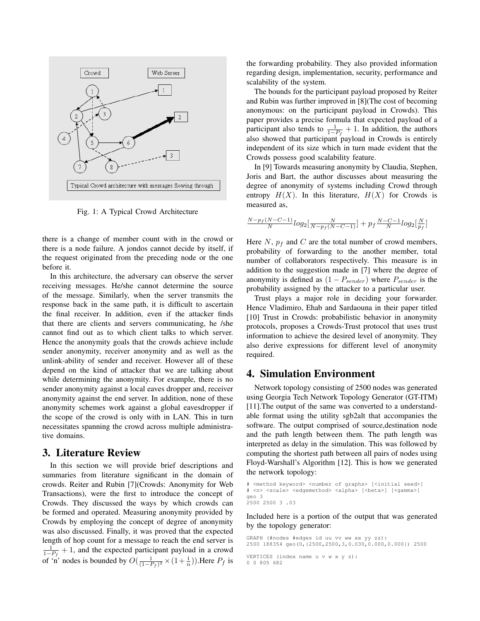

Fig. 1: A Typical Crowd Architecture

there is a change of member count with in the crowd or there is a node failure. A jondos cannot decide by itself, if the request originated from the preceding node or the one before it.

In this architecture, the adversary can observe the server receiving messages. He/she cannot determine the source of the message. Similarly, when the server transmits the response back in the same path, it is difficult to ascertain the final receiver. In addition, even if the attacker finds that there are clients and servers communicating, he /she cannot find out as to which client talks to which server. Hence the anonymity goals that the crowds achieve include sender anonymity, receiver anonymity and as well as the unlink-ability of sender and receiver. However all of these depend on the kind of attacker that we are talking about while determining the anonymity. For example, there is no sender anonymity against a local eaves dropper and, receiver anonymity against the end server. In addition, none of these anonymity schemes work against a global eavesdropper if the scope of the crowd is only with in LAN. This in turn necessitates spanning the crowd across multiple administrative domains.

#### 3. Literature Review

In this section we will provide brief descriptions and summaries from literature significant in the domain of crowds. Reiter and Rubin [7](Crowds: Anonymity for Web Transactions), were the first to introduce the concept of Crowds. They discussed the ways by which crowds can be formed and operated. Measuring anonymity provided by Crowds by employing the concept of degree of anonymity was also discussed. Finally, it was proved that the expected length of hop count for a message to reach the end server is  $\frac{1}{1-P_f}$  + 1, and the expected participant payload in a crowd of 'n' nodes is bounded by  $O(\frac{1}{(1-P_f)^2} \times (1+\frac{1}{n}))$ . Here  $P_f$  is the forwarding probability. They also provided information regarding design, implementation, security, performance and scalability of the system.

The bounds for the participant payload proposed by Reiter and Rubin was further improved in [8](The cost of becoming anonymous: on the participant payload in Crowds). This paper provides a precise formula that expected payload of a participant also tends to  $\frac{1}{1-P_f} + 1$ . In addition, the authors also showed that participant payload in Crowds is entirely independent of its size which in turn made evident that the Crowds possess good scalability feature.

In [9] Towards measuring anonymity by Claudia, Stephen, Joris and Bart, the author discusses about measuring the degree of anonymity of systems including Crowd through entropy  $H(X)$ . In this literature,  $H(X)$  for Crowds is measured as,

$$
\tfrac{N-p_f(N-C-1)}{N}log_2[\tfrac{N}{N-p_f(N-C-1)}]+p_f\tfrac{N-C-1}{N}log_2[\tfrac{N}{p_f}]
$$

Here  $N$ ,  $p_f$  and  $C$  are the total number of crowd members, probability of forwarding to the another member, total number of collaborators respectively. This measure is in addition to the suggestion made in [7] where the degree of anonymity is defined as  $(1 - P_{sender})$  where  $P_{sender}$  is the probability assigned by the attacker to a particular user.

Trust plays a major role in deciding your forwarder. Hence Vladimiro, Ehab and Sardaouna in their paper titled [10] Trust in Crowds: probabilistic behavior in anonymity protocols, proposes a Crowds-Trust protocol that uses trust information to achieve the desired level of anonymity. They also derive expressions for different level of anonymity required.

#### 4. Simulation Environment

Network topology consisting of 2500 nodes was generated using Georgia Tech Network Topology Generator (GT-ITM) [11].The output of the same was converted to a understandable format using the utility sgb2alt that accompanies the software. The output comprised of source,destination node and the path length between them. The path length was interpreted as delay in the simulation. This was followed by computing the shortest path between all pairs of nodes using Floyd-Warshall's Algorithm [12]. This is how we generated the network topology:

```
# <method keyword> <number of graphs> [<initial seed>]
# <n> <scale> <edgemethod> <alpha> [<beta>] [<gamma>]
geo 3
2500 2500 3 .03
```
Included here is a portion of the output that was generated by the topology generator:

GRAPH (#nodes #edges id uu vv ww xx yy zz): 2500 188354 geo(0,{2500,2500,3,0.030,0.000,0.000}) 2500

VERTICES (index name u v w x y z): 0 0 805 682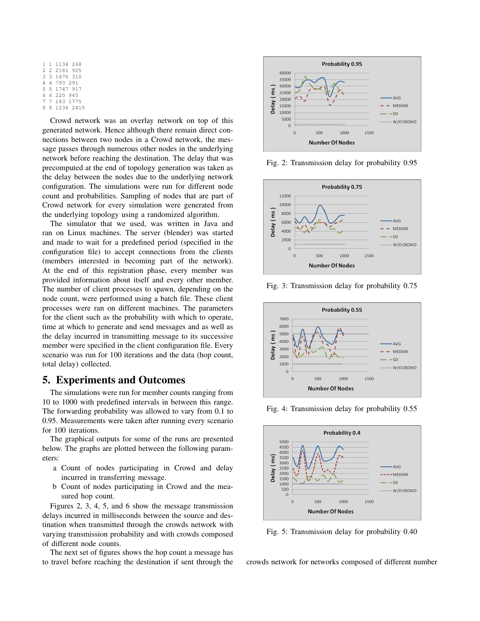```
1 1 1134 268
2 2 2181 925
3 3 1670 310
4 4 793 291
5 5 1747 917
6 6 220 945
7 7 183 1775
 8 8 1236 2415
```
Crowd network was an overlay network on top of this generated network. Hence although there remain direct connections between two nodes in a Crowd network, the message passes through numerous other nodes in the underlying network before reaching the destination. The delay that was precomputed at the end of topology generation was taken as the delay between the nodes due to the underlying network configuration. The simulations were run for different node count and probabilities. Sampling of nodes that are part of Crowd network for every simulation were generated from the underlying topology using a randomized algorithm.

The simulator that we used, was written in Java and ran on Linux machines. The server (blender) was started and made to wait for a predefined period (specified in the configuration file) to accept connections from the clients (members interested in becoming part of the network). At the end of this registration phase, every member was provided information about itself and every other member. The number of client processes to spawn, depending on the node count, were performed using a batch file. These client processes were ran on different machines. The parameters for the client such as the probability with which to operate, time at which to generate and send messages and as well as the delay incurred in transmitting message to its successive member were specified in the client configuration file. Every scenario was run for 100 iterations and the data (hop count, total delay) collected.

#### 5. Experiments and Outcomes

The simulations were run for member counts ranging from 10 to 1000 with predefined intervals in between this range. The forwarding probability was allowed to vary from 0.1 to 0.95. Measurements were taken after running every scenario for 100 iterations.

The graphical outputs for some of the runs are presented below. The graphs are plotted between the following parameters:

- a Count of nodes participating in Crowd and delay incurred in transferring message.
- b Count of nodes participating in Crowd and the measured hop count.

Figures 2, 3, 4, 5, and 6 show the message transmission delays incurred in milliseconds between the source and destination when transmitted through the crowds network with varying transmission probability and with crowds composed of different node counts.

The next set of figures shows the hop count a message has to travel before reaching the destination if sent through the



Fig. 2: Transmission delay for probability 0.95



Fig. 3: Transmission delay for probability 0.75



Fig. 4: Transmission delay for probability 0.55



Fig. 5: Transmission delay for probability 0.40

crowds network for networks composed of different number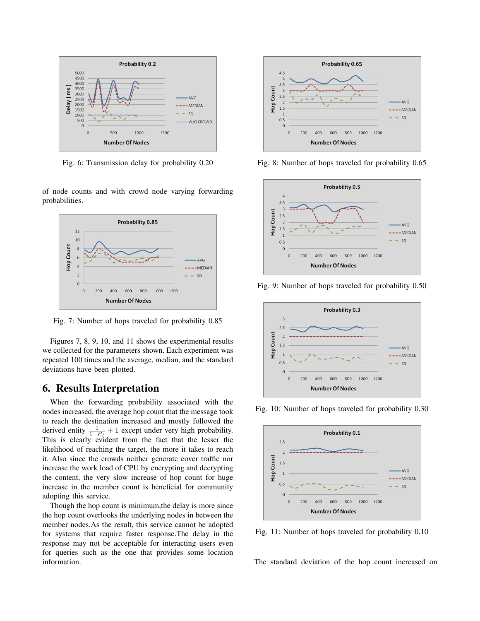

Fig. 6: Transmission delay for probability 0.20

of node counts and with crowd node varying forwarding probabilities.



Fig. 7: Number of hops traveled for probability 0.85

Figures 7, 8, 9, 10, and 11 shows the experimental results we collected for the parameters shown. Each experiment was repeated 100 times and the average, median, and the standard deviations have been plotted.

#### 6. Results Interpretation

When the forwarding probability associated with the nodes increased, the average hop count that the message took to reach the destination increased and mostly followed the derived entity  $\frac{1}{1-P_f} + 1$  except under very high probability. This is clearly evident from the fact that the lesser the likelihood of reaching the target, the more it takes to reach it. Also since the crowds neither generate cover traffic nor increase the work load of CPU by encrypting and decrypting the content, the very slow increase of hop count for huge increase in the member count is beneficial for community adopting this service.

Though the hop count is minimum,the delay is more since the hop count overlooks the underlying nodes in between the member nodes.As the result, this service cannot be adopted for systems that require faster response.The delay in the response may not be acceptable for interacting users even for queries such as the one that provides some location information.



Fig. 8: Number of hops traveled for probability 0.65



Fig. 9: Number of hops traveled for probability 0.50



Fig. 10: Number of hops traveled for probability 0.30



Fig. 11: Number of hops traveled for probability 0.10

The standard deviation of the hop count increased on